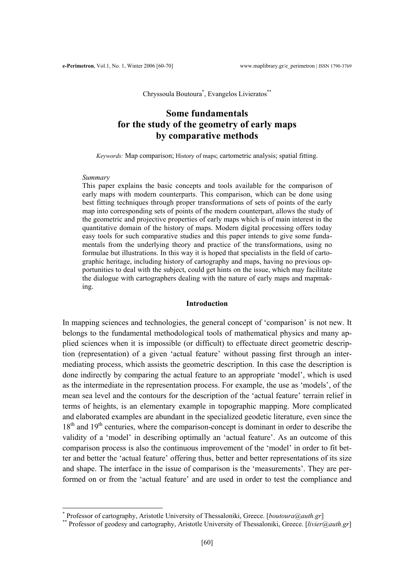Chryssoula Boutoura<sup>\*</sup>, Evangelos Livieratos<sup>\*\*</sup>

# **Some fundamentals for the study of the geometry of early maps by comparative methods**

*Keywords:* Map comparison; History of maps; cartometric analysis; spatial fitting.

#### *Summary*

 $\overline{a}$ 

This paper explains the basic concepts and tools available for the comparison of early maps with modern counterparts. This comparison, which can be done using best fitting techniques through proper transformations of sets of points of the early map into corresponding sets of points of the modern counterpart, allows the study of the geometric and projective properties of early maps which is of main interest in the quantitative domain of the history of maps. Modern digital processing offers today easy tools for such comparative studies and this paper intends to give some fundamentals from the underlying theory and practice of the transformations, using no formulae but illustrations. In this way it is hoped that specialists in the field of cartographic heritage, including history of cartography and maps, having no previous opportunities to deal with the subject, could get hints on the issue, which may facilitate the dialogue with cartographers dealing with the nature of early maps and mapmaking.

#### **Introduction**

In mapping sciences and technologies, the general concept of 'comparison' is not new. It belongs to the fundamental methodological tools of mathematical physics and many applied sciences when it is impossible (or difficult) to effectuate direct geometric description (representation) of a given 'actual feature' without passing first through an intermediating process, which assists the geometric description. In this case the description is done indirectly by comparing the actual feature to an appropriate 'model', which is used as the intermediate in the representation process. For example, the use as 'models', of the mean sea level and the contours for the description of the 'actual feature' terrain relief in terms of heights, is an elementary example in topographic mapping. More complicated and elaborated examples are abundant in the specialized geodetic literature, even since the 18<sup>th</sup> and 19<sup>th</sup> centuries, where the comparison-concept is dominant in order to describe the validity of a 'model' in describing optimally an 'actual feature'. As an outcome of this comparison process is also the continuous improvement of the 'model' in order to fit better and better the 'actual feature' offering thus, better and better representations of its size and shape. The interface in the issue of comparison is the 'measurements'. They are performed on or from the 'actual feature' and are used in order to test the compliance and

<span id="page-0-0"></span><sup>\*</sup> Professor of cartography. Aristotle University of Thessaloniki. Greece. [boutoura@auth.gr]

<span id="page-0-1"></span><sup>\*\*</sup> Professor of geodesy and cartography, Aristotle University of Thessaloniki, Greece. [*livier@auth.gr*]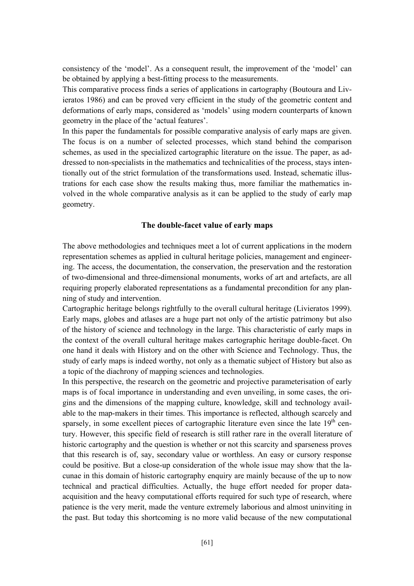consistency of the 'model'. As a consequent result, the improvement of the 'model' can be obtained by applying a best-fitting process to the measurements.

This comparative process finds a series of applications in cartography (Boutoura and Livieratos 1986) and can be proved very efficient in the study of the geometric content and deformations of early maps, considered as 'models' using modern counterparts of known geometry in the place of the 'actual features'.

In this paper the fundamentals for possible comparative analysis of early maps are given. The focus is on a number of selected processes, which stand behind the comparison schemes, as used in the specialized cartographic literature on the issue. The paper, as addressed to non-specialists in the mathematics and technicalities of the process, stays intentionally out of the strict formulation of the transformations used. Instead, schematic illustrations for each case show the results making thus, more familiar the mathematics involved in the whole comparative analysis as it can be applied to the study of early map geometry.

## **The double-facet value of early maps**

The above methodologies and techniques meet a lot of current applications in the modern representation schemes as applied in cultural heritage policies, management and engineering. The access, the documentation, the conservation, the preservation and the restoration of two-dimensional and three-dimensional monuments, works of art and artefacts, are all requiring properly elaborated representations as a fundamental precondition for any planning of study and intervention.

Cartographic heritage belongs rightfully to the overall cultural heritage (Livieratos 1999). Early maps, globes and atlases are a huge part not only of the artistic patrimony but also of the history of science and technology in the large. This characteristic of early maps in the context of the overall cultural heritage makes cartographic heritage double-facet. On one hand it deals with History and on the other with Science and Technology. Thus, the study of early maps is indeed worthy, not only as a thematic subject of History but also as a topic of the diachrony of mapping sciences and technologies.

In this perspective, the research on the geometric and projective parameterisation of early maps is of focal importance in understanding and even unveiling, in some cases, the origins and the dimensions of the mapping culture, knowledge, skill and technology available to the map-makers in their times. This importance is reflected, although scarcely and sparsely, in some excellent pieces of cartographic literature even since the late 19<sup>th</sup> century. However, this specific field of research is still rather rare in the overall literature of historic cartography and the question is whether or not this scarcity and sparseness proves that this research is of, say, secondary value or worthless. An easy or cursory response could be positive. But a close-up consideration of the whole issue may show that the lacunae in this domain of historic cartography enquiry are mainly because of the up to now technical and practical difficulties. Actually, the huge effort needed for proper dataacquisition and the heavy computational efforts required for such type of research, where patience is the very merit, made the venture extremely laborious and almost uninviting in the past. But today this shortcoming is no more valid because of the new computational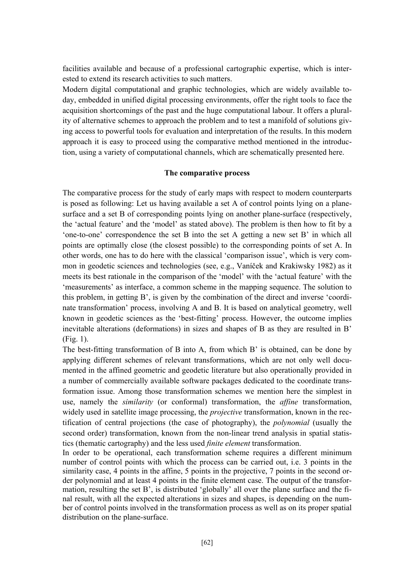facilities available and because of a professional cartographic expertise, which is interested to extend its research activities to such matters.

Modern digital computational and graphic technologies, which are widely available today, embedded in unified digital processing environments, offer the right tools to face the acquisition shortcomings of the past and the huge computational labour. It offers a plurality of alternative schemes to approach the problem and to test a manifold of solutions giving access to powerful tools for evaluation and interpretation of the results. In this modern approach it is easy to proceed using the comparative method mentioned in the introduction, using a variety of computational channels, which are schematically presented here.

#### **The comparative process**

The comparative process for the study of early maps with respect to modern counterparts is posed as following: Let us having available a set A of control points lying on a planesurface and a set B of corresponding points lying on another plane-surface (respectively, the 'actual feature' and the 'model' as stated above). The problem is then how to fit by a 'one-to-one' correspondence the set B into the set A getting a new set B' in which all points are optimally close (the closest possible) to the corresponding points of set A. In other words, one has to do here with the classical 'comparison issue', which is very common in geodetic sciences and technologies (see, e.g., Vaníček and Krakiwsky 1982) as it meets its best rationale in the comparison of the 'model' with the 'actual feature' with the 'measurements' as interface, a common scheme in the mapping sequence. The solution to this problem, in getting B', is given by the combination of the direct and inverse 'coordinate transformation' process, involving A and B. It is based on analytical geometry, well known in geodetic sciences as the 'best-fitting' process. However, the outcome implies inevitable alterations (deformations) in sizes and shapes of B as they are resulted in B' (Fig. 1).

The best-fitting transformation of B into A, from which B' is obtained, can be done by applying different schemes of relevant transformations, which are not only well documented in the affined geometric and geodetic literature but also operationally provided in a number of commercially available software packages dedicated to the coordinate transformation issue. Among those transformation schemes we mention here the simplest in use, namely the *similarity* (or conformal) transformation, the *affine* transformation, widely used in satellite image processing, the *projective* transformation, known in the rectification of central projections (the case of photography), the *polynomial* (usually the second order) transformation, known from the non-linear trend analysis in spatial statistics (thematic cartography) and the less used *finite element* transformation.

In order to be operational, each transformation scheme requires a different minimum number of control points with which the process can be carried out, i.e. 3 points in the similarity case, 4 points in the affine, 5 points in the projective, 7 points in the second order polynomial and at least 4 points in the finite element case. The output of the transformation, resulting the set B', is distributed 'globally' all over the plane surface and the final result, with all the expected alterations in sizes and shapes, is depending on the number of control points involved in the transformation process as well as on its proper spatial distribution on the plane-surface.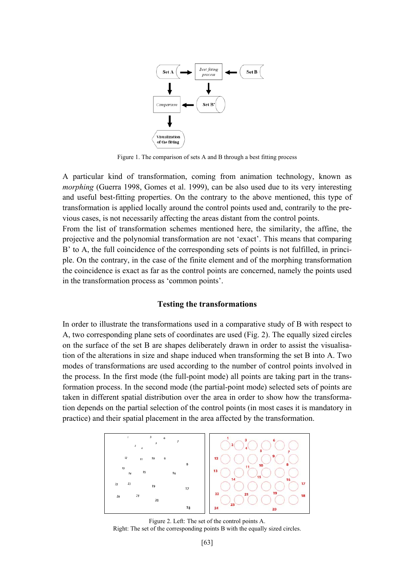

Figure 1. The comparison of sets A and B through a best fitting process

A particular kind of transformation, coming from animation technology, known as *morphing* (Guerra 1998, Gomes et al. 1999), can be also used due to its very interesting and useful best-fitting properties. On the contrary to the above mentioned, this type of transformation is applied locally around the control points used and, contrarily to the previous cases, is not necessarily affecting the areas distant from the control points.

From the list of transformation schemes mentioned here, the similarity, the affine, the projective and the polynomial transformation are not 'exact'. This means that comparing B' to A, the full coincidence of the corresponding sets of points is not fulfilled, in principle. On the contrary, in the case of the finite element and of the morphing transformation the coincidence is exact as far as the control points are concerned, namely the points used in the transformation process as 'common points'.

#### **Testing the transformations**

In order to illustrate the transformations used in a comparative study of B with respect to A, two corresponding plane sets of coordinates are used (Fig. 2). The equally sized circles on the surface of the set B are shapes deliberately drawn in order to assist the visualisation of the alterations in size and shape induced when transforming the set B into A. Two modes of transformations are used according to the number of control points involved in the process. In the first mode (the full-point mode) all points are taking part in the transformation process. In the second mode (the partial-point mode) selected sets of points are taken in different spatial distribution over the area in order to show how the transformation depends on the partial selection of the control points (in most cases it is mandatory in practice) and their spatial placement in the area affected by the transformation.



Figure 2. Left: The set of the control points A. Right: The set of the corresponding points B with the equally sized circles.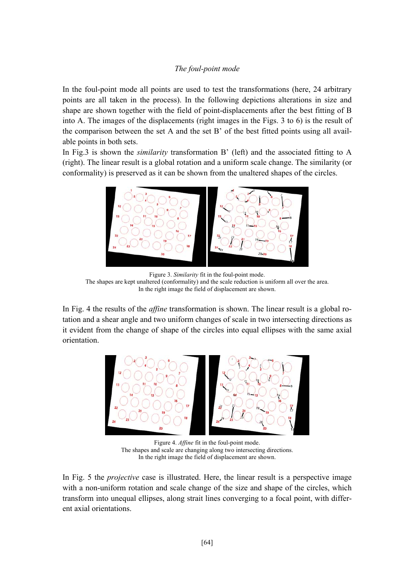## *The foul-point mode*

In the foul-point mode all points are used to test the transformations (here, 24 arbitrary points are all taken in the process). In the following depictions alterations in size and shape are shown together with the field of point-displacements after the best fitting of B into A. The images of the displacements (right images in the Figs. 3 to 6) is the result of the comparison between the set A and the set B' of the best fitted points using all available points in both sets.

In Fig.3 is shown the *similarity* transformation B' (left) and the associated fitting to A (right). The linear result is a global rotation and a uniform scale change. The similarity (or conformality) is preserved as it can be shown from the unaltered shapes of the circles.



Figure 3. *Similarity* fit in the foul-point mode. The shapes are kept unaltered (conformality) and the scale reduction is uniform all over the area. In the right image the field of displacement are shown.

In Fig. 4 the results of the *affine* transformation is shown. The linear result is a global rotation and a shear angle and two uniform changes of scale in two intersecting directions as it evident from the change of shape of the circles into equal ellipses with the same axial orientation.



Figure 4. *Affine* fit in the foul-point mode. The shapes and scale are changing along two intersecting directions. In the right image the field of displacement are shown.

In Fig. 5 the *projective* case is illustrated. Here, the linear result is a perspective image with a non-uniform rotation and scale change of the size and shape of the circles, which transform into unequal ellipses, along strait lines converging to a focal point, with different axial orientations.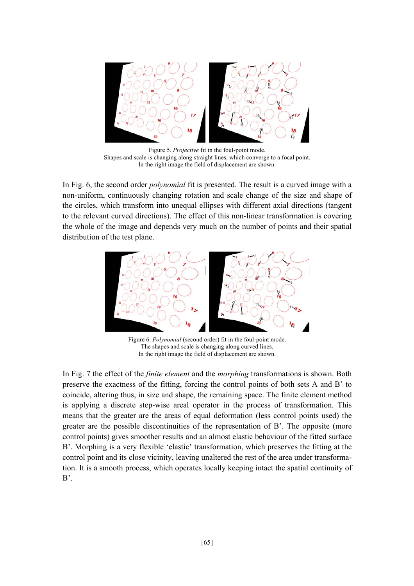

Figure 5. *Projective* fit in the foul-point mode. Shapes and scale is changing along straight lines, which converge to a focal point. In the right image the field of displacement are shown.

In Fig. 6, the second order *polynomial* fit is presented. The result is a curved image with a non-uniform, continuously changing rotation and scale change of the size and shape of the circles, which transform into unequal ellipses with different axial directions (tangent to the relevant curved directions). The effect of this non-linear transformation is covering the whole of the image and depends very much on the number of points and their spatial distribution of the test plane.



Figure 6. *Polynomial* (second order) fit in the foul-point mode. The shapes and scale is changing along curved lines. In the right image the field of displacement are shown.

In Fig. 7 the effect of the *finite element* and the *morphing* transformations is shown. Both preserve the exactness of the fitting, forcing the control points of both sets A and B' to coincide, altering thus, in size and shape, the remaining space. The finite element method is applying a discrete step-wise areal operator in the process of transformation. This means that the greater are the areas of equal deformation (less control points used) the greater are the possible discontinuities of the representation of B'. The opposite (more control points) gives smoother results and an almost elastic behaviour of the fitted surface B'. Morphing is a very flexible 'elastic' transformation, which preserves the fitting at the control point and its close vicinity, leaving unaltered the rest of the area under transformation. It is a smooth process, which operates locally keeping intact the spatial continuity of  $B^{\prime}$ .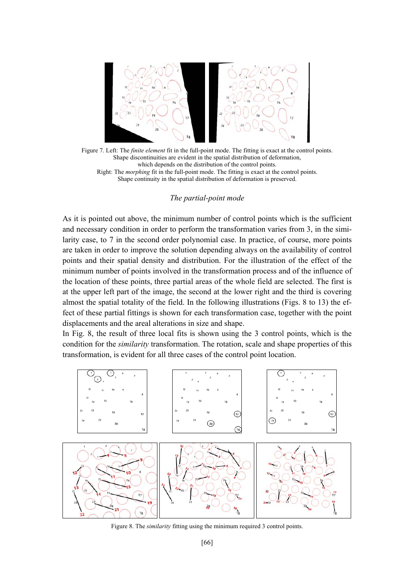

Figure 7. Left: The *finite element* fit in the full-point mode. The fitting is exact at the control points. Shape discontinuities are evident in the spatial distribution of deformation, which depends on the distribution of the control points. Right: The *morphing* fit in the full-point mode. The fitting is exact at the control points. Shape continuity in the spatial distribution of deformation is preserved.

#### *The partial-point mode*

As it is pointed out above, the minimum number of control points which is the sufficient and necessary condition in order to perform the transformation varies from 3, in the similarity case, to 7 in the second order polynomial case. In practice, of course, more points are taken in order to improve the solution depending always on the availability of control points and their spatial density and distribution. For the illustration of the effect of the minimum number of points involved in the transformation process and of the influence of the location of these points, three partial areas of the whole field are selected. The first is at the upper left part of the image, the second at the lower right and the third is covering almost the spatial totality of the field. In the following illustrations (Figs. 8 to 13) the effect of these partial fittings is shown for each transformation case, together with the point displacements and the areal alterations in size and shape.

In Fig. 8, the result of three local fits is shown using the 3 control points, which is the condition for the *similarity* transformation. The rotation, scale and shape properties of this transformation, is evident for all three cases of the control point location.



Figure 8. The *similarity* fitting using the minimum required 3 control points.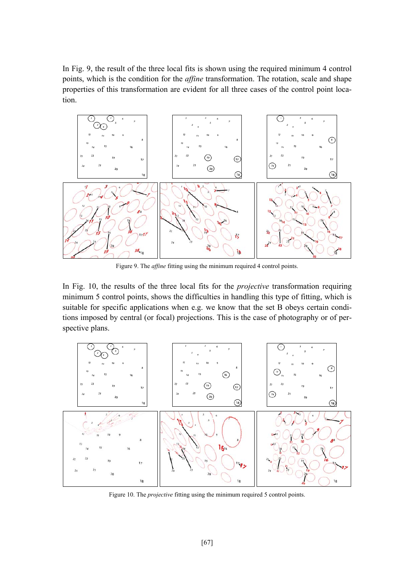In Fig. 9, the result of the three local fits is shown using the required minimum 4 control points, which is the condition for the *affine* transformation. The rotation, scale and shape properties of this transformation are evident for all three cases of the control point location.



Figure 9. The *affine* fitting using the minimum required 4 control points.

In Fig. 10, the results of the three local fits for the *projective* transformation requiring minimum 5 control points, shows the difficulties in handling this type of fitting, which is suitable for specific applications when e.g. we know that the set B obeys certain conditions imposed by central (or focal) projections. This is the case of photography or of perspective plans.



Figure 10. The *projective* fitting using the minimum required 5 control points.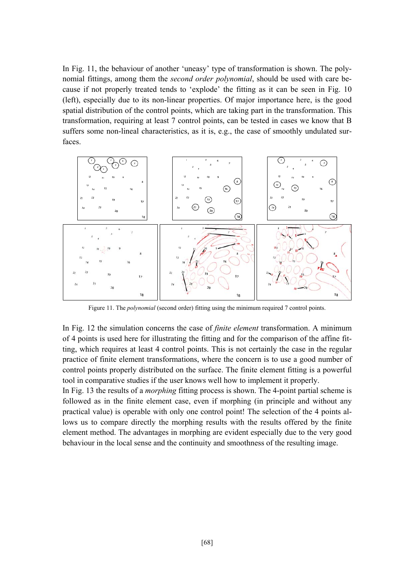In Fig. 11, the behaviour of another 'uneasy' type of transformation is shown. The polynomial fittings, among them the *second order polynomial*, should be used with care because if not properly treated tends to 'explode' the fitting as it can be seen in Fig. 10 (left), especially due to its non-linear properties. Of major importance here, is the good spatial distribution of the control points, which are taking part in the transformation. This transformation, requiring at least 7 control points, can be tested in cases we know that B suffers some non-lineal characteristics, as it is, e.g., the case of smoothly undulated surfaces.



Figure 11. The *polynomial* (second order) fitting using the minimum required 7 control points.

In Fig. 12 the simulation concerns the case of *finite element* transformation. A minimum of 4 points is used here for illustrating the fitting and for the comparison of the affine fitting, which requires at least 4 control points. This is not certainly the case in the regular practice of finite element transformations, where the concern is to use a good number of control points properly distributed on the surface. The finite element fitting is a powerful tool in comparative studies if the user knows well how to implement it properly.

In Fig. 13 the results of a *morphing* fitting process is shown. The 4-point partial scheme is followed as in the finite element case, even if morphing (in principle and without any practical value) is operable with only one control point! The selection of the 4 points allows us to compare directly the morphing results with the results offered by the finite element method. The advantages in morphing are evident especially due to the very good behaviour in the local sense and the continuity and smoothness of the resulting image.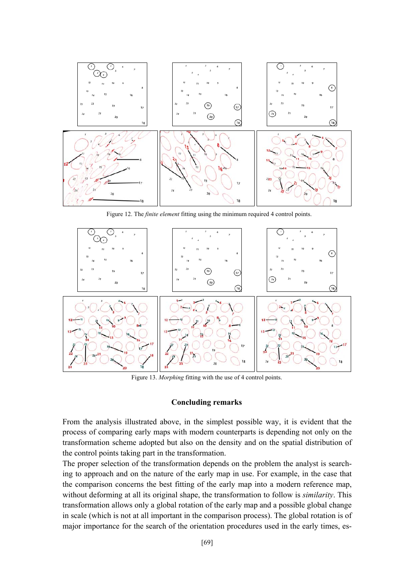

Figure 12. The *finite element* fitting using the minimum required 4 control points.



Figure 13. *Morphing* fitting with the use of 4 control points.

#### **Concluding remarks**

From the analysis illustrated above, in the simplest possible way, it is evident that the process of comparing early maps with modern counterparts is depending not only on the transformation scheme adopted but also on the density and on the spatial distribution of the control points taking part in the transformation.

The proper selection of the transformation depends on the problem the analyst is searching to approach and on the nature of the early map in use. For example, in the case that the comparison concerns the best fitting of the early map into a modern reference map, without deforming at all its original shape, the transformation to follow is *similarity*. This transformation allows only a global rotation of the early map and a possible global change in scale (which is not at all important in the comparison process). The global rotation is of major importance for the search of the orientation procedures used in the early times, es